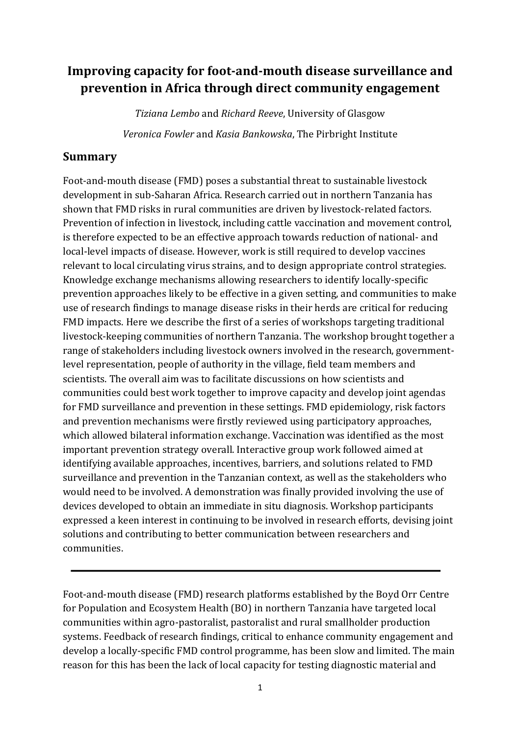# **Improving capacity for foot-and-mouth disease surveillance and prevention in Africa through direct community engagement**

*Tiziana Lembo* and *Richard Reeve*, University of Glasgow *Veronica Fowler* and *Kasia Bankowska*, The Pirbright Institute

### **Summary**

Foot-and-mouth disease (FMD) poses a substantial threat to sustainable livestock development in sub-Saharan Africa. Research carried out in northern Tanzania has shown that FMD risks in rural communities are driven by livestock-related factors. Prevention of infection in livestock, including cattle vaccination and movement control, is therefore expected to be an effective approach towards reduction of national- and local-level impacts of disease. However, work is still required to develop vaccines relevant to local circulating virus strains, and to design appropriate control strategies. Knowledge exchange mechanisms allowing researchers to identify locally-specific prevention approaches likely to be effective in a given setting, and communities to make use of research findings to manage disease risks in their herds are critical for reducing FMD impacts. Here we describe the first of a series of workshops targeting traditional livestock-keeping communities of northern Tanzania. The workshop brought together a range of stakeholders including livestock owners involved in the research, governmentlevel representation, people of authority in the village, field team members and scientists. The overall aim was to facilitate discussions on how scientists and communities could best work together to improve capacity and develop joint agendas for FMD surveillance and prevention in these settings. FMD epidemiology, risk factors and prevention mechanisms were firstly reviewed using participatory approaches, which allowed bilateral information exchange. Vaccination was identified as the most important prevention strategy overall. Interactive group work followed aimed at identifying available approaches, incentives, barriers, and solutions related to FMD surveillance and prevention in the Tanzanian context, as well as the stakeholders who would need to be involved. A demonstration was finally provided involving the use of devices developed to obtain an immediate in situ diagnosis. Workshop participants expressed a keen interest in continuing to be involved in research efforts, devising joint solutions and contributing to better communication between researchers and communities. 

Foot-and-mouth disease (FMD) research platforms established by the Boyd Orr Centre for Population and Ecosystem Health (BO) in northern Tanzania have targeted local communities within agro-pastoralist, pastoralist and rural smallholder production systems. Feedback of research findings, critical to enhance community engagement and develop a locally-specific FMD control programme, has been slow and limited. The main reason for this has been the lack of local capacity for testing diagnostic material and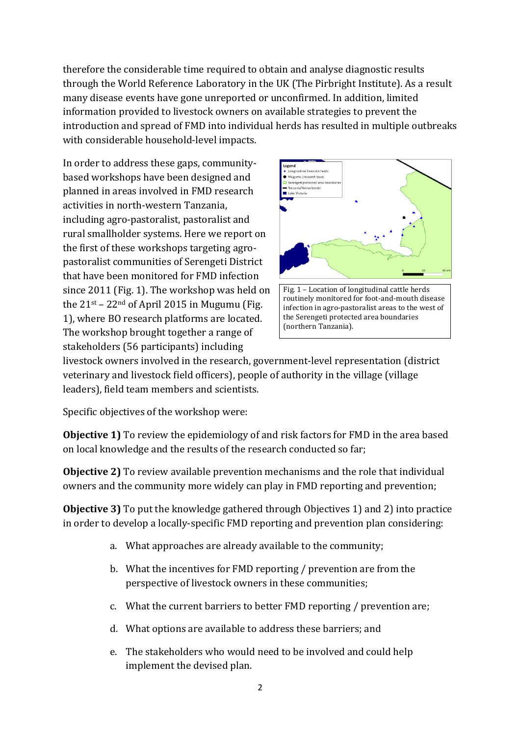therefore the considerable time required to obtain and analyse diagnostic results through the World Reference Laboratory in the UK (The Pirbright Institute). As a result many disease events have gone unreported or unconfirmed. In addition, limited information provided to livestock owners on available strategies to prevent the introduction and spread of FMD into individual herds has resulted in multiple outbreaks with considerable household-level impacts.

In order to address these gaps, communitybased workshops have been designed and planned in areas involved in FMD research activities in north-western Tanzania, including agro-pastoralist, pastoralist and rural smallholder systems. Here we report on the first of these workshops targeting agropastoralist communities of Serengeti District that have been monitored for FMD infection since 2011 (Fig. 1). The workshop was held on the  $21$ <sup>st</sup> –  $22$ <sup>nd</sup> of April 2015 in Mugumu (Fig. 1), where BO research platforms are located. The workshop brought together a range of stakeholders (56 participants) including





livestock owners involved in the research, government-level representation (district veterinary and livestock field officers), people of authority in the village (village leaders), field team members and scientists.

Specific objectives of the workshop were:

**Objective 1)** To review the epidemiology of and risk factors for FMD in the area based on local knowledge and the results of the research conducted so far;

**Objective 2)** To review available prevention mechanisms and the role that individual owners and the community more widely can play in FMD reporting and prevention;

**Objective 3)** To put the knowledge gathered through Objectives 1) and 2) into practice in order to develop a locally-specific FMD reporting and prevention plan considering:

- a. What approaches are already available to the community;
- b. What the incentives for FMD reporting / prevention are from the perspective of livestock owners in these communities;
- c. What the current barriers to better FMD reporting / prevention are;
- d. What options are available to address these barriers; and
- e. The stakeholders who would need to be involved and could help implement the devised plan.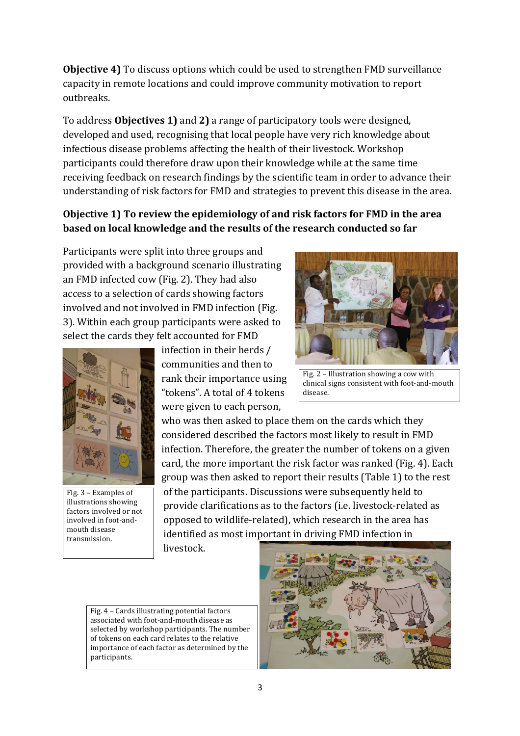**Objective 4)** To discuss options which could be used to strengthen FMD surveillance capacity in remote locations and could improve community motivation to report outbreaks. 

To address **Objectives 1)** and 2) a range of participatory tools were designed, developed and used, recognising that local people have very rich knowledge about infectious disease problems affecting the health of their livestock. Workshop participants could therefore draw upon their knowledge while at the same time receiving feedback on research findings by the scientific team in order to advance their understanding of risk factors for FMD and strategies to prevent this disease in the area.

# **Objective 1)** To review the epidemiology of and risk factors for FMD in the area **based on local knowledge and the results of the research conducted so far**

Participants were split into three groups and provided with a background scenario illustrating an FMD infected cow (Fig. 2). They had also access to a selection of cards showing factors involved and not involved in FMD infection (Fig. 3). Within each group participants were asked to select the cards they felt accounted for FMD



Fig. 3 - Examples of illustrations showing factors involved or not involved in foot-andmouth disease transmission.

infection in their herds / communities and then to rank their importance using "tokens". A total of 4 tokens were given to each person,

Fig.  $2$  – Illustration showing a cow with clinical signs consistent with foot-and-mouth disease.

who was then asked to place them on the cards which they considered described the factors most likely to result in FMD infection. Therefore, the greater the number of tokens on a given card, the more important the risk factor was ranked (Fig. 4). Each group was then asked to report their results (Table 1) to the rest of the participants. Discussions were subsequently held to provide clarifications as to the factors (i.e. livestock-related as opposed to wildlife-related), which research in the area has identified as most important in driving FMD infection in

livestock.

Fig.  $4$  – Cards illustrating potential factors associated with foot-and-mouth disease as selected by workshop participants. The number of tokens on each card relates to the relative importance of each factor as determined by the participants. 

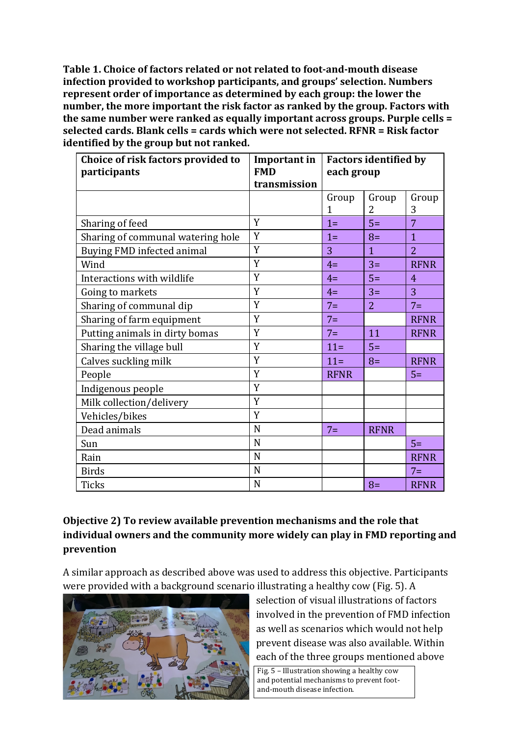**Table 1. Choice of factors related or not related to foot-and-mouth disease infection** provided to workshop participants, and groups' selection. Numbers **represent order of importance as determined by each group: the lower the number, the more important the risk factor as ranked by the group. Factors with** the same number were ranked as equally important across groups. Purple cells = selected cards. Blank cells = cards which were not selected. RFNR = Risk factor **identified by the group but not ranked.** 

| Choice of risk factors provided to<br>participants | Important in<br><b>FMD</b><br>transmission | <b>Factors identified by</b><br>each group |                |                |
|----------------------------------------------------|--------------------------------------------|--------------------------------------------|----------------|----------------|
|                                                    |                                            | Group                                      | Group          | Group          |
|                                                    |                                            | $\mathbf{1}$                               | 2              | 3              |
| Sharing of feed                                    | Y                                          | $1=$                                       | $5=$           | $\overline{7}$ |
| Sharing of communal watering hole                  | Y                                          | $1 =$                                      | $8=$           | $\mathbf{1}$   |
| Buying FMD infected animal                         | Y                                          | 3                                          | $\mathbf{1}$   | $\overline{2}$ |
| Wind                                               | Y                                          | $4=$                                       | $3=$           | <b>RFNR</b>    |
| Interactions with wildlife                         | Y                                          | $4=$                                       | $5=$           | $\overline{4}$ |
| Going to markets                                   | Y                                          | $4=$                                       | $3=$           | 3              |
| Sharing of communal dip                            | Y                                          | $7 =$                                      | $\overline{2}$ | $7 =$          |
| Sharing of farm equipment                          | Y                                          | $7 =$                                      |                | <b>RFNR</b>    |
| Putting animals in dirty bomas                     | Y                                          | $7 =$                                      | 11             | <b>RFNR</b>    |
| Sharing the village bull                           | Y                                          | $11=$                                      | $5=$           |                |
| Calves suckling milk                               | Y                                          | $11=$                                      | $8=$           | <b>RFNR</b>    |
| People                                             | Y                                          | <b>RFNR</b>                                |                | $5=$           |
| Indigenous people                                  | Y                                          |                                            |                |                |
| Milk collection/delivery                           | Y                                          |                                            |                |                |
| Vehicles/bikes                                     | Y                                          |                                            |                |                |
| Dead animals                                       | N                                          | $7 =$                                      | <b>RFNR</b>    |                |
| Sun                                                | N                                          |                                            |                | $5=$           |
| Rain                                               | N                                          |                                            |                | <b>RFNR</b>    |
| <b>Birds</b>                                       | N                                          |                                            |                | $7 =$          |
| <b>Ticks</b>                                       | N                                          |                                            | $8=$           | <b>RFNR</b>    |

# **Objective 2)** To review available prevention mechanisms and the role that individual owners and the community more widely can play in FMD reporting and **prevention**

A similar approach as described above was used to address this objective. Participants were provided with a background scenario illustrating a healthy cow (Fig. 5). A



selection of visual illustrations of factors involved in the prevention of FMD infection as well as scenarios which would not help prevent disease was also available. Within each of the three groups mentioned above

and-mouth disease infection. Fig. 5 - Illustration showing a healthy cow and potential mechanisms to prevent foot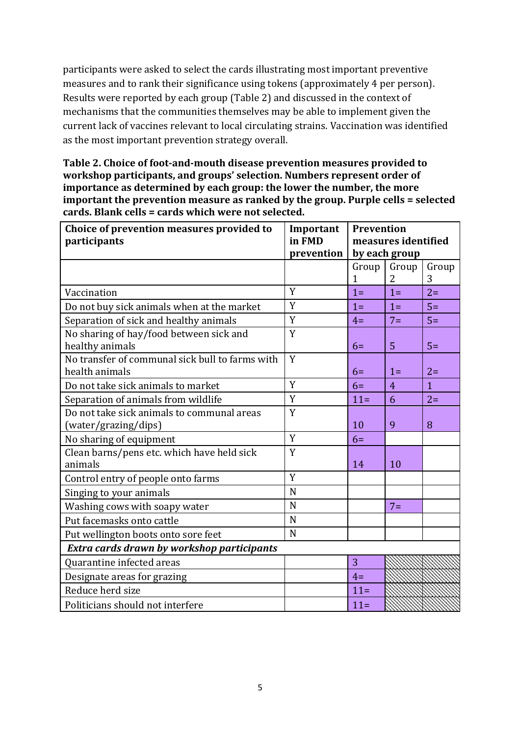participants were asked to select the cards illustrating most important preventive measures and to rank their significance using tokens (approximately 4 per person). Results were reported by each group (Table 2) and discussed in the context of mechanisms that the communities themselves may be able to implement given the current lack of vaccines relevant to local circulating strains. Vaccination was identified as the most important prevention strategy overall.

Table 2. Choice of foot-and-mouth disease prevention measures provided to workshop participants, and groups' selection. Numbers represent order of **importance as determined by each group: the lower the number, the more important the prevention measure as ranked by the group. Purple cells = selected** cards. Blank cells = cards which were not selected.

| Choice of prevention measures provided to<br>participants | Important<br>in FMD<br>prevention | <b>Prevention</b><br>measures identified<br>by each group |                |                |
|-----------------------------------------------------------|-----------------------------------|-----------------------------------------------------------|----------------|----------------|
|                                                           |                                   | Group                                                     | Group          | Group          |
|                                                           |                                   | 1                                                         | 2              | 3              |
| Vaccination                                               | Y                                 | $1 =$                                                     | $1 =$          | $2=$           |
| Do not buy sick animals when at the market                | Y                                 | $1=$                                                      | $1=$           | $5=$           |
| Separation of sick and healthy animals                    | Y                                 | $4=$                                                      | $7 =$          | $5=$           |
| No sharing of hay/food between sick and                   | Y                                 |                                                           |                |                |
| healthy animals                                           |                                   | $6=$                                                      | 5              | $5=$           |
| No transfer of communal sick bull to farms with           | Y                                 |                                                           |                |                |
| health animals                                            |                                   | $6=$                                                      | $1=$           | $2=$           |
| Do not take sick animals to market                        | Y                                 | $6=$                                                      | $\overline{4}$ | $\overline{1}$ |
| Separation of animals from wildlife                       | Y                                 | $11 =$                                                    | 6              | $2=$           |
| Do not take sick animals to communal areas                | Y                                 |                                                           |                |                |
| (water/grazing/dips)                                      |                                   | 10                                                        | 9              | 8              |
| No sharing of equipment                                   | Y                                 | $6=$                                                      |                |                |
| Clean barns/pens etc. which have held sick                | Y                                 |                                                           |                |                |
| animals                                                   |                                   | 14                                                        | 10             |                |
| Control entry of people onto farms                        | Y                                 |                                                           |                |                |
| Singing to your animals                                   | N                                 |                                                           |                |                |
| Washing cows with soapy water                             | N                                 |                                                           | $7 =$          |                |
| Put facemasks onto cattle                                 | N                                 |                                                           |                |                |
| Put wellington boots onto sore feet                       | N                                 |                                                           |                |                |
| Extra cards drawn by workshop participants                |                                   |                                                           |                |                |
| Quarantine infected areas                                 |                                   | 3                                                         |                |                |
| Designate areas for grazing                               |                                   | $4=$                                                      |                |                |
| Reduce herd size                                          |                                   | $11 =$                                                    |                |                |
| Politicians should not interfere                          |                                   | $11 =$                                                    |                |                |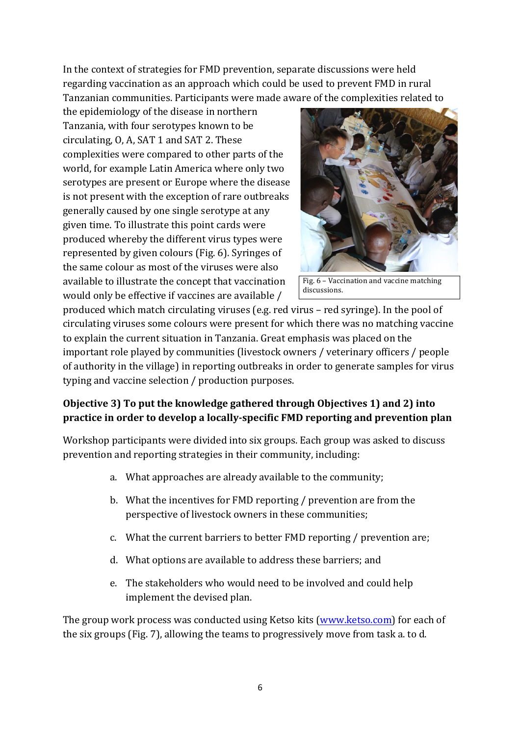In the context of strategies for FMD prevention, separate discussions were held regarding vaccination as an approach which could be used to prevent FMD in rural Tanzanian communities. Participants were made aware of the complexities related to

the epidemiology of the disease in northern Tanzania, with four serotypes known to be circulating,  $O$ ,  $A$ ,  $SAT 1$  and  $SAT 2$ . These complexities were compared to other parts of the world, for example Latin America where only two serotypes are present or Europe where the disease is not present with the exception of rare outbreaks generally caused by one single serotype at any given time. To illustrate this point cards were produced whereby the different virus types were represented by given colours (Fig. 6). Syringes of the same colour as most of the viruses were also available to illustrate the concept that vaccination would only be effective if vaccines are available /



Fig. 6 - Vaccination and vaccine matching discussions.

produced which match circulating viruses (e.g. red virus – red syringe). In the pool of circulating viruses some colours were present for which there was no matching vaccine to explain the current situation in Tanzania. Great emphasis was placed on the important role played by communities (livestock owners / veterinary officers / people of authority in the village) in reporting outbreaks in order to generate samples for virus typing and vaccine selection / production purposes.

# **Objective 3)** To put the knowledge gathered through Objectives 1) and 2) into **practice in order to develop a locally-specific FMD reporting and prevention plan**

Workshop participants were divided into six groups. Each group was asked to discuss prevention and reporting strategies in their community, including:

- a. What approaches are already available to the community;
- b. What the incentives for FMD reporting  $/$  prevention are from the perspective of livestock owners in these communities;
- c. What the current barriers to better FMD reporting / prevention are;
- d. What options are available to address these barriers; and
- e. The stakeholders who would need to be involved and could help implement the devised plan.

The group work process was conducted using Ketso kits (www.ketso.com) for each of the six groups (Fig. 7), allowing the teams to progressively move from task a. to d.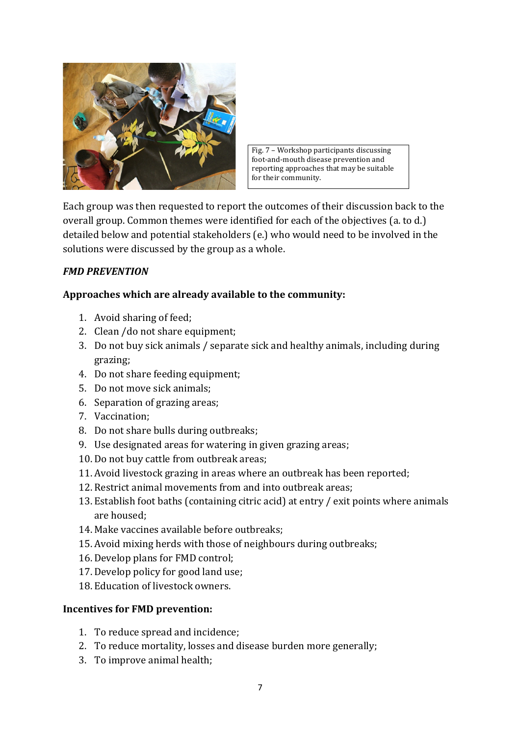

Fig.  $7$  – Workshop participants discussing foot-and-mouth disease prevention and reporting approaches that may be suitable for their community.

Each group was then requested to report the outcomes of their discussion back to the overall group. Common themes were identified for each of the objectives (a. to d.) detailed below and potential stakeholders (e.) who would need to be involved in the solutions were discussed by the group as a whole.

#### *FMD PREVENTION*

#### Approaches which are already available to the community:

- 1. Avoid sharing of feed;
- 2. Clean /do not share equipment;
- 3. Do not buy sick animals / separate sick and healthy animals, including during grazing;
- 4. Do not share feeding equipment;
- 5. Do not move sick animals:
- 6. Separation of grazing areas;
- 7. Vaccination;
- 8. Do not share bulls during outbreaks;
- 9. Use designated areas for watering in given grazing areas;
- 10. Do not buy cattle from outbreak areas;
- 11. Avoid livestock grazing in areas where an outbreak has been reported;
- 12. Restrict animal movements from and into outbreak areas;
- 13. Establish foot baths (containing citric acid) at entry / exit points where animals are housed:
- 14. Make vaccines available before outbreaks:
- 15. Avoid mixing herds with those of neighbours during outbreaks;
- 16. Develop plans for FMD control;
- 17. Develop policy for good land use;
- 18. Education of livestock owners.

#### **Incentives for FMD prevention:**

- 1. To reduce spread and incidence;
- 2. To reduce mortality, losses and disease burden more generally;
- 3. To improve animal health;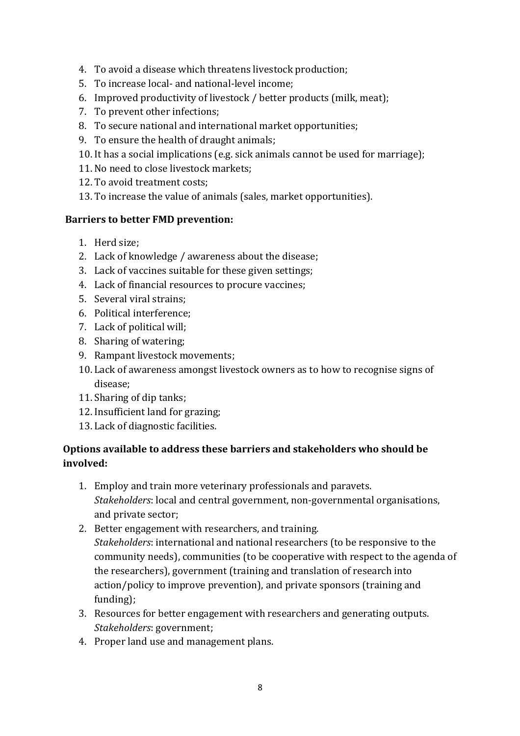- 4. To avoid a disease which threatens livestock production;
- 5. To increase local- and national-level income;
- 6. Improved productivity of livestock / better products (milk, meat);
- 7. To prevent other infections;
- 8. To secure national and international market opportunities;
- 9. To ensure the health of draught animals;
- 10. It has a social implications (e.g. sick animals cannot be used for marriage);
- 11. No need to close livestock markets:
- 12. To avoid treatment costs;
- 13. To increase the value of animals (sales, market opportunities).

#### **Barriers to better FMD prevention:**

- 1. Herd size:
- 2. Lack of knowledge / awareness about the disease;
- 3. Lack of vaccines suitable for these given settings;
- 4. Lack of financial resources to procure vaccines;
- 5. Several viral strains:
- 6. Political interference:
- 7. Lack of political will;
- 8. Sharing of watering;
- 9. Rampant livestock movements;
- 10. Lack of awareness amongst livestock owners as to how to recognise signs of disease;
- 11. Sharing of dip tanks;
- 12. Insufficient land for grazing;
- 13. Lack of diagnostic facilities.

### **Options available to address these barriers and stakeholders who should be involved:**

- 1. Employ and train more veterinary professionals and paravets. *Stakeholders*: local and central government, non-governmental organisations, and private sector:
- 2. Better engagement with researchers, and training. *Stakeholders*: international and national researchers (to be responsive to the community needs), communities (to be cooperative with respect to the agenda of the researchers), government (training and translation of research into action/policy to improve prevention), and private sponsors (training and funding);
- 3. Resources for better engagement with researchers and generating outputs. *Stakeholders*: government;
- 4. Proper land use and management plans.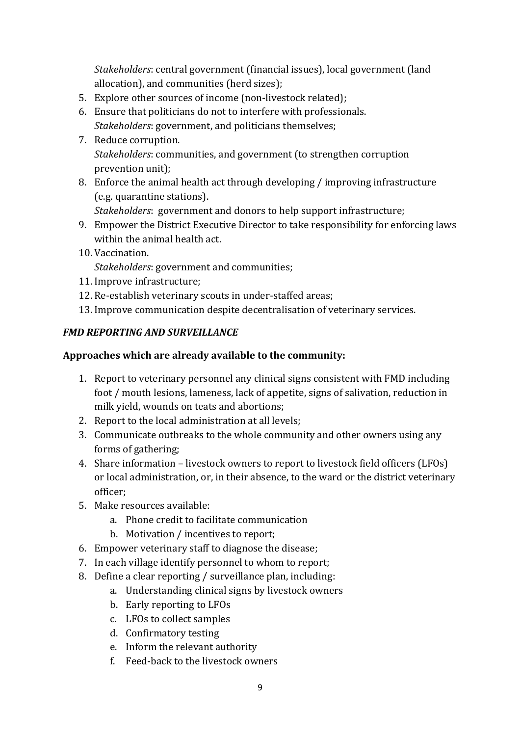*Stakeholders:* central government (financial issues), local government (land allocation), and communities (herd sizes);

- 5. Explore other sources of income (non-livestock related);
- 6. Ensure that politicians do not to interfere with professionals. *Stakeholders:* government, and politicians themselves;
- 7. Reduce corruption. *Stakeholders:* communities, and government (to strengthen corruption prevention unit);
- 8. Enforce the animal health act through developing / improving infrastructure (e.g. quarantine stations).

*Stakeholders*: government and donors to help support infrastructure;

- 9. Empower the District Executive Director to take responsibility for enforcing laws within the animal health act.
- 10. Vaccination.

*Stakeholders:* government and communities;

- 11. Improve infrastructure;
- 12. Re-establish veterinary scouts in under-staffed areas:
- 13. Improve communication despite decentralisation of veterinary services.

# **FMD REPORTING AND SURVEILLANCE**

### Approaches which are already available to the community:

- 1. Report to veterinary personnel any clinical signs consistent with FMD including foot / mouth lesions, lameness, lack of appetite, signs of salivation, reduction in milk yield, wounds on teats and abortions;
- 2. Report to the local administration at all levels;
- 3. Communicate outbreaks to the whole community and other owners using any forms of gathering;
- 4. Share information livestock owners to report to livestock field officers (LFOs) or local administration, or, in their absence, to the ward or the district veterinary officer;
- 5. Make resources available:
	- a. Phone credit to facilitate communication
	- b. Motivation / incentives to report;
- 6. Empower veterinary staff to diagnose the disease;
- 7. In each village identify personnel to whom to report;
- 8. Define a clear reporting / surveillance plan, including:
	- a. Understanding clinical signs by livestock owners
	- b. Early reporting to LFOs
	- c. LFOs to collect samples
	- d. Confirmatory testing
	- e. Inform the relevant authority
	- f. Feed-back to the livestock owners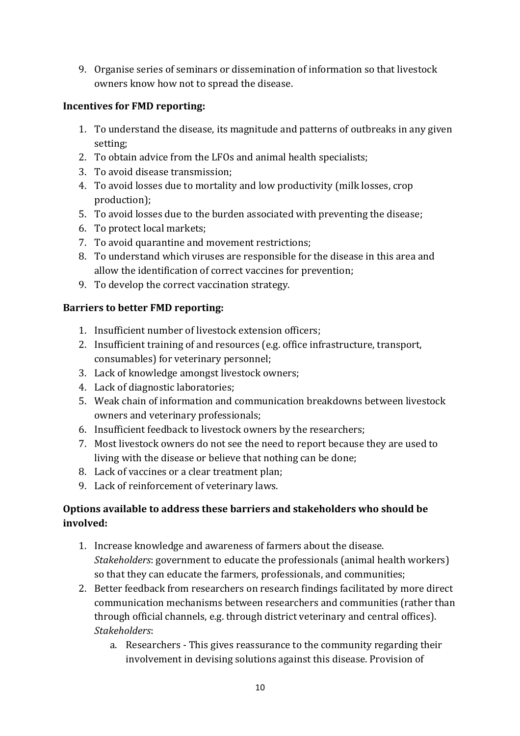9. Organise series of seminars or dissemination of information so that livestock owners know how not to spread the disease.

### **Incentives for FMD reporting:**

- 1. To understand the disease, its magnitude and patterns of outbreaks in any given setting;
- 2. To obtain advice from the LFOs and animal health specialists;
- 3. To avoid disease transmission;
- 4. To avoid losses due to mortality and low productivity (milk losses, crop production);
- 5. To avoid losses due to the burden associated with preventing the disease;
- 6. To protect local markets:
- 7. To avoid quarantine and movement restrictions;
- 8. To understand which viruses are responsible for the disease in this area and allow the identification of correct vaccines for prevention;
- 9. To develop the correct vaccination strategy.

### **Barriers to better FMD reporting:**

- 1. Insufficient number of livestock extension officers:
- 2. Insufficient training of and resources (e.g. office infrastructure, transport, consumables) for veterinary personnel;
- 3. Lack of knowledge amongst livestock owners;
- 4. Lack of diagnostic laboratories;
- 5. Weak chain of information and communication breakdowns between livestock owners and veterinary professionals;
- 6. Insufficient feedback to livestock owners by the researchers;
- 7. Most livestock owners do not see the need to report because they are used to living with the disease or believe that nothing can be done;
- 8. Lack of vaccines or a clear treatment plan;
- 9. Lack of reinforcement of veterinary laws.

# **Options available to address these barriers and stakeholders who should be involved:**

- 1. Increase knowledge and awareness of farmers about the disease. *Stakeholders:* government to educate the professionals (animal health workers) so that they can educate the farmers, professionals, and communities;
- 2. Better feedback from researchers on research findings facilitated by more direct communication mechanisms between researchers and communities (rather than through official channels, e.g. through district veterinary and central offices). *Stakeholders*:
	- a. Researchers This gives reassurance to the community regarding their involvement in devising solutions against this disease. Provision of